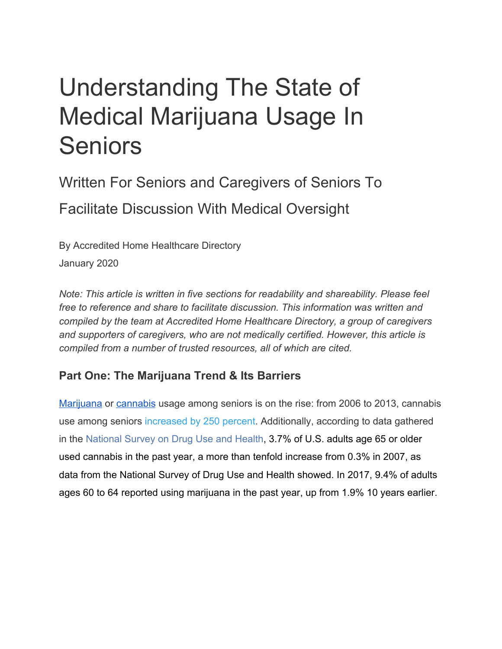# Understanding The State of Medical Marijuana Usage In Seniors

Written For Seniors and Caregivers of Seniors To Facilitate Discussion With Medical Oversight

By Accredited Home Healthcare Directory January 2020

*Note: This article is written in five sections for readability and shareability. Please feel free to reference and share to facilitate discussion. This information was written and compiled by the team at Accredited Home Healthcare Directory, a group of caregivers and supporters of caregivers, who are not medically certified. However, this article is compiled from a number of trusted resources, all of which are cited.*

# **Part One: The Marijuana Trend & Its Barriers**

[Marijuana](https://www.medicinenet.com/script/main/art.asp?articlekey=12124) or [cannabis](https://www.medicinenet.com/script/main/art.asp?articlekey=11074) usage among seniors is on the rise: from 2006 to 2013, cannabis use among seniors [increased by 250 percent](http://onlinelibrary.wiley.com/doi/10.1111/add.13670/full). Additionally, according to data gathered in th[e National Survey on Drug Use and Health,](https://nsduhweb.rti.org/respweb/homepage.cfm) 3.7% of U.S. adults age 65 or older used cannabis in the past year, a more than tenfold increase from 0.3% in 2007, as data from the National Survey of Drug Use and Health showed. In 2017, 9.4% of adults ages 60 to 64 reported using marijuana in the past year, up from 1.9% 10 years earlier.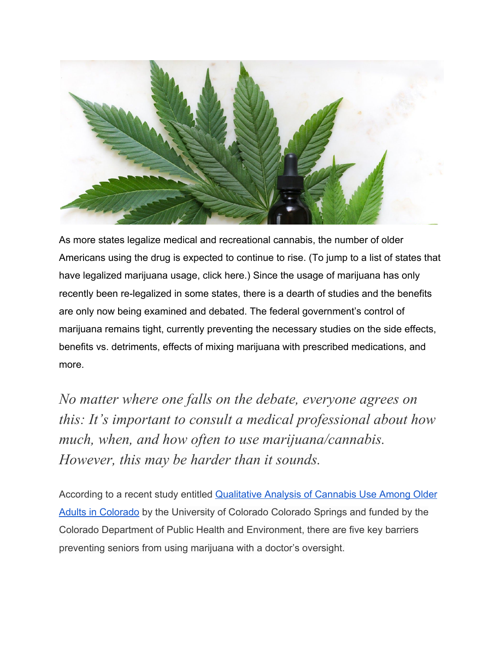

As more states legalize medical and recreational cannabis, the number of older Americans using the drug is expected to continue to rise. (To jump to a list of states that have legalized marijuana usage, click here.) Since the usage of marijuana has only recently been re-legalized in some states, there is a dearth of studies and the benefits are only now being examined and debated. The federal government's control of marijuana remains tight, currently preventing the necessary studies on the side effects, benefits vs. detriments, effects of mixing marijuana with prescribed medications, and more.

*No matter where one falls on the debate, everyone agrees on this: It's important to consult a medical professional about how much, when, and how often to use marijuana/cannabis. However, this may be harder than it sounds.*

According to a recent study entitled **Qualitative Analysis of Cannabis Use Among Older** [Adults in Colorado](https://link.springer.com/article/10.1007%2Fs40266-019-00665-w) by the University of Colorado Colorado Springs and funded by the Colorado Department of Public Health and Environment, there are five key barriers preventing seniors from using marijuana with a doctor's oversight.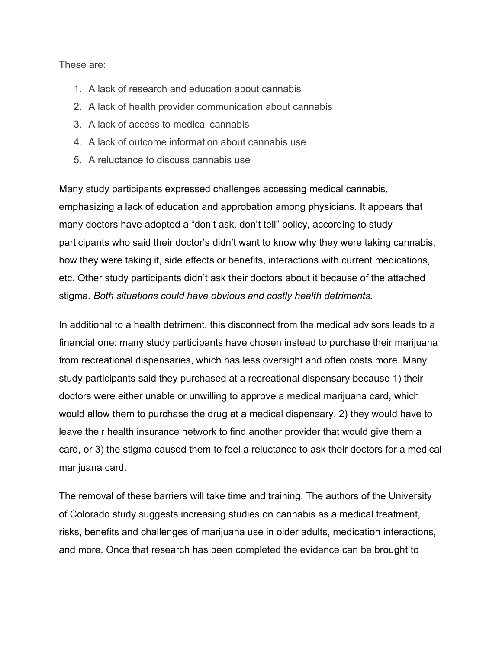These are:

- 1. A lack of research and education about cannabis
- 2. A lack of health provider communication about cannabis
- 3. A lack of access to medical cannabis
- 4. A lack of outcome information about cannabis use
- 5. A reluctance to discuss cannabis use

Many study participants expressed challenges accessing medical cannabis, emphasizing a lack of education and approbation among physicians. It appears that many doctors have adopted a "don't ask, don't tell" policy, according to study participants who said their doctor's didn't want to know why they were taking cannabis, how they were taking it, side effects or benefits, interactions with current medications, etc. Other study participants didn't ask their doctors about it because of the attached stigma. *Both situations could have obvious and costly health detriments.*

In additional to a health detriment, this disconnect from the medical advisors leads to a financial one: many study participants have chosen instead to purchase their marijuana from recreational dispensaries, which has less oversight and often costs more. Many study participants said they purchased at a recreational dispensary because 1) their doctors were either unable or unwilling to approve a medical marijuana card, which would allow them to purchase the drug at a medical dispensary, 2) they would have to leave their health insurance network to find another provider that would give them a card, or 3) the stigma caused them to feel a reluctance to ask their doctors for a medical marijuana card.

The removal of these barriers will take time and training. The authors of the University of Colorado study suggests increasing studies on cannabis as a medical treatment, risks, benefits and challenges of marijuana use in older adults, medication interactions, and more. Once that research has been completed the evidence can be brought to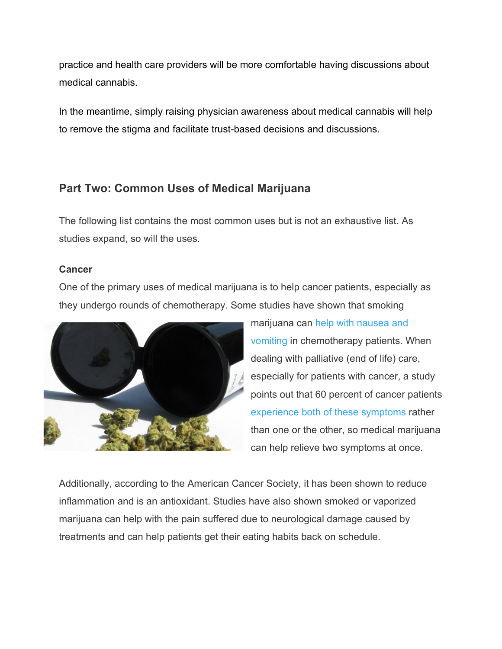practice and health care providers will be more comfortable having discussions about medical cannabis.

In the meantime, simply raising physician awareness about medical cannabis will help to remove the stigma and facilitate trust-based decisions and discussions.

# **Part Two: Common Uses of Medical Marijuana**

The following list contains the most common uses but is not an exhaustive list. As studies expand, so will the uses.

#### **Cancer**

One of the primary uses of medical marijuana is to help cancer patients, especially as they undergo rounds of chemotherapy. Some studies have shown that smoking



marijuana can [help with nausea and](https://www.cancer.org/treatment/treatments-and-side-effects/complementary-and-alternative-medicine/marijuana-and-cancer.html) [vomiting](https://www.cancer.org/treatment/treatments-and-side-effects/complementary-and-alternative-medicine/marijuana-and-cancer.html) in chemotherapy patients. When dealing with palliative (end of life) care, especially for patients with cancer, a study points out that 60 percent of cancer patients [experience both of these symptoms](https://www.ncbi.nlm.nih.gov/pmc/articles/PMC3180521/) rather than one or the other, so medical marijuana can help relieve two symptoms at once.

Additionally, according to the American Cancer Society, it has been shown to reduce inflammation and is an antioxidant. Studies have also shown smoked or vaporized marijuana can help with the pain suffered due to neurological damage caused by treatments and can help patients get their eating habits back on schedule.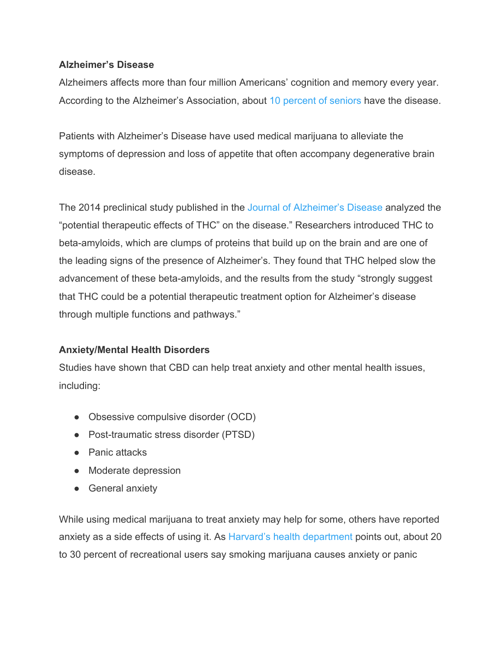## **Alzheimer's Disease**

Alzheimers affects more than four million Americans' cognition and memory every year. According to the Alzheimer's Association, about [10 percent of seniors](https://www.alz.org/facts/) have the disease.

Patients with Alzheimer's Disease have used medical marijuana to alleviate the symptoms of depression and loss of appetite that often accompany degenerative brain disease.

The 2014 preclinical study published in the [Journal of Alzheimer's Disease](https://content.iospress.com/articles/journal-of-alzheimers-disease/jad140093) analyzed the "potential therapeutic effects of THC" on the disease." Researchers introduced THC to beta-amyloids, which are clumps of proteins that build up on the brain and are one of the leading signs of the presence of Alzheimer's. They found that THC helped slow the advancement of these beta-amyloids, and the results from the study "strongly suggest that THC could be a potential therapeutic treatment option for Alzheimer's disease through multiple functions and pathways."

## **Anxiety/Mental Health Disorders**

Studies have shown that CBD can help treat anxiety and other mental health issues, including:

- Obsessive compulsive disorder (OCD)
- Post-traumatic stress disorder (PTSD)
- Panic attacks
- Moderate depression
- General anxiety

While using medical marijuana to treat anxiety may help for some, others have reported anxiety as a side effects of using it. As [Harvard's health department](https://www.health.harvard.edu/mind-and-mood/medical-marijuana-and-the-mind) points out, about 20 to 30 percent of recreational users say smoking marijuana causes anxiety or panic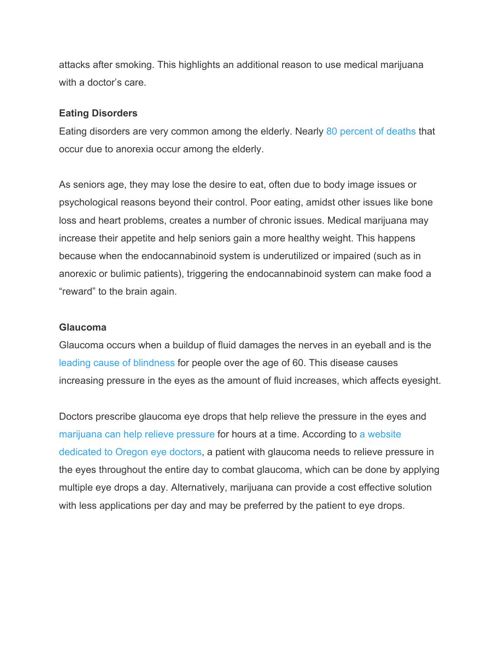attacks after smoking. This highlights an additional reason to use medical marijuana with a doctor's care.

#### **Eating Disorders**

Eating disorders are very common among the elderly. Nearly [80 percent of deaths](https://www.eatingdisorderhope.com/blog/chronic-illness-and-eating-disorder-development-in-the-elderly-patient) that occur due to anorexia occur among the elderly.

As seniors age, they may lose the desire to eat, often due to body image issues or psychological reasons beyond their control. Poor eating, amidst other issues like bone loss and heart problems, creates a number of chronic issues. Medical marijuana may increase their appetite and help seniors gain a more healthy weight. This happens because when the endocannabinoid system is underutilized or impaired (such as in anorexic or bulimic patients), triggering the endocannabinoid system can make food a "reward" to the brain again.

#### **Glaucoma**

Glaucoma occurs when a buildup of fluid damages the nerves in an eyeball and is the [leading cause of blindness](https://www.aao.org/eye-health/diseases/what-is-glaucoma) for people over the age of 60. This disease causes increasing pressure in the eyes as the amount of fluid increases, which affects eyesight.

Doctors prescribe glaucoma eye drops that help relieve the pressure in the eyes and [marijuana can help relieve pressure](https://www.aao.org/eye-health/tips-prevention/medical-marijuana-glaucoma-treament) for hours at a time. According to [a website](http://www.oregoneyes.net/glaucoma-and-marijuana/) [dedicated to Oregon eye doctors](http://www.oregoneyes.net/glaucoma-and-marijuana/), a patient with glaucoma needs to relieve pressure in the eyes throughout the entire day to combat glaucoma, which can be done by applying multiple eye drops a day. Alternatively, marijuana can provide a cost effective solution with less applications per day and may be preferred by the patient to eye drops.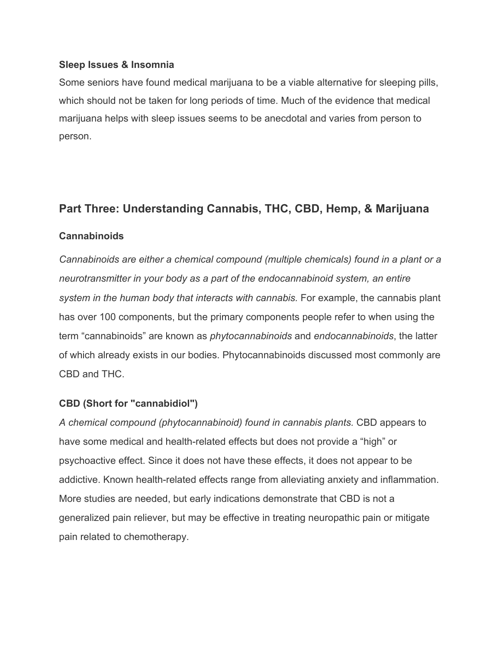#### **Sleep Issues & Insomnia**

Some seniors have found medical marijuana to be a viable alternative for sleeping pills, which should not be taken for long periods of time. Much of the evidence that medical marijuana helps with sleep issues seems to be anecdotal and varies from person to person.

## **Part Three: Understanding Cannabis, THC, CBD, Hemp, & Marijuana**

## **Cannabinoids**

*Cannabinoids are either a chemical compound (multiple chemicals) found in a plant or a neurotransmitter in your body as a part of the endocannabinoid system, an entire system in the human body that interacts with cannabis.* For example, the cannabis plant has over 100 components, but the primary components people refer to when using the term "cannabinoids" are known as *phytocannabinoids* and *endocannabinoids*, the latter of which already exists in our bodies. Phytocannabinoids discussed most commonly are CBD and THC.

## **CBD (Short for "cannabidiol")**

*A chemical compound (phytocannabinoid) found in cannabis plants.* CBD appears to have some medical and health-related effects but does not provide a "high" or psychoactive effect. Since it does not have these effects, it does not appear to be addictive. Known health-related effects range from alleviating anxiety and inflammation. More studies are needed, but early indications demonstrate that CBD is not a generalized pain reliever, but may be effective in treating neuropathic pain or mitigate pain related to chemotherapy.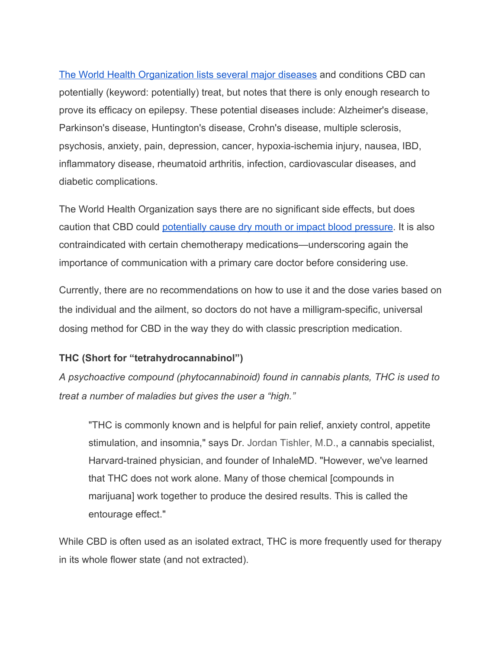[The World Health Organization lists several major diseases](https://www.who.int/medicines/access/controlled-substances/CannabidiolCriticalReview.pdf) and conditions CBD can potentially (keyword: potentially) treat, but notes that there is only enough research to prove its efficacy on epilepsy. These potential diseases include: Alzheimer's disease, Parkinson's disease, Huntington's disease, Crohn's disease, multiple sclerosis, psychosis, anxiety, pain, depression, cancer, hypoxia-ischemia injury, nausea, IBD, inflammatory disease, rheumatoid arthritis, infection, cardiovascular diseases, and diabetic complications.

The World Health Organization says there are no significant side effects, but does caution that CBD could [potentially cause dry mouth or impact blood pressure](https://www.webmd.com/vitamins/ai/ingredientmono-1439/cannabidiol-cbd). It is also contraindicated with certain chemotherapy medications—underscoring again the importance of communication with a primary care doctor before considering use.

Currently, there are no recommendations on how to use it and the dose varies based on the individual and the ailment, so doctors do not have a milligram-specific, universal dosing method for CBD in the way they do with classic prescription medication.

## **THC (Short for "tetrahydrocannabinol")**

*A psychoactive compound (phytocannabinoid) found in cannabis plants, THC is used to treat a number of maladies but gives the user a "high."*

"THC is commonly known and is helpful for pain relief, anxiety control, appetite stimulation, and insomnia," says Dr. [Jordan Tishler, M.D.,](https://inhalemd.com/about-us/) a cannabis specialist, Harvard-trained physician, and founder of InhaleMD. "However, we've learned that THC does not work alone. Many of those chemical [compounds in marijuana] work together to produce the desired results. This is called the entourage effect."

While CBD is often used as an isolated extract, THC is more frequently used for therapy in its whole flower state (and not extracted).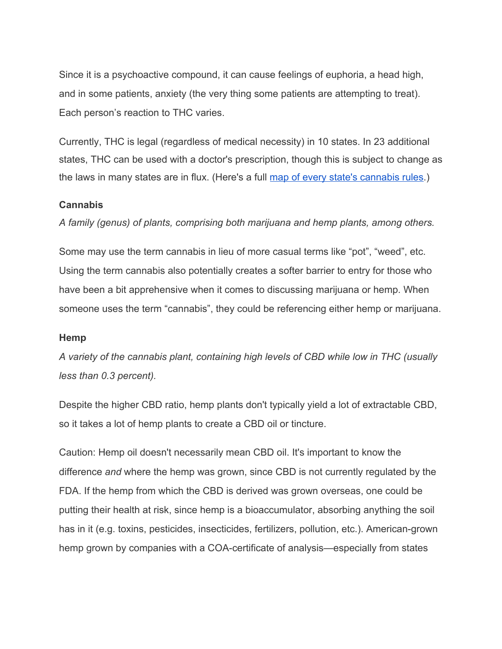Since it is a psychoactive compound, it can cause feelings of euphoria, a head high, and in some patients, anxiety (the very thing some patients are attempting to treat). Each person's reaction to THC varies.

Currently, THC is legal (regardless of medical necessity) in 10 states. In 23 additional states, THC can be used with a doctor's prescription, though this is subject to change as the laws in many states are in flux. (Here's a full [map of every state's cannabis rules.](http://www.ncsl.org/research/health/state-medical-marijuana-laws.aspx))

#### **Cannabis**

*A family (genus) of plants, comprising both marijuana and hemp plants, among others.*

Some may use the term cannabis in lieu of more casual terms like "pot", "weed", etc. Using the term cannabis also potentially creates a softer barrier to entry for those who have been a bit apprehensive when it comes to discussing marijuana or hemp. When someone uses the term "cannabis", they could be referencing either hemp or marijuana.

#### **Hemp**

*A variety of the cannabis plant, containing high levels of CBD while low in THC (usually less than 0.3 percent).*

Despite the higher CBD ratio, hemp plants don't typically yield a lot of extractable CBD, so it takes a lot of hemp plants to create a CBD oil or tincture.

Caution: Hemp oil doesn't necessarily mean CBD oil. It's important to know the difference *and* where the hemp was grown, since CBD is not currently regulated by the FDA. If the hemp from which the CBD is derived was grown overseas, one could be putting their health at risk, since hemp is a bioaccumulator, absorbing anything the soil has in it (e.g. toxins, pesticides, insecticides, fertilizers, pollution, etc.). American-grown hemp grown by companies with a COA-certificate of analysis—especially from states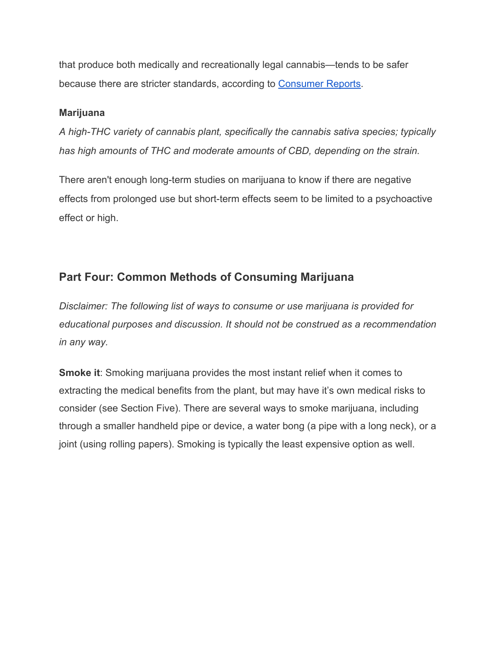that produce both medically and recreationally legal cannabis—tends to be safer because there are stricter standards, according to [Consumer Reports](https://www.consumerreports.org/cbd/what-is-cbd-what-to-know-about-this-cannabis-product/).

### **Marijuana**

*A high-THC variety of cannabis plant, specifically the cannabis sativa species; typically has high amounts of THC and moderate amounts of CBD, depending on the strain.*

There aren't enough long-term studies on marijuana to know if there are negative effects from prolonged use but short-term effects seem to be limited to a psychoactive effect or high.

# **Part Four: Common Methods of Consuming Marijuana**

*Disclaimer: The following list of ways to consume or use marijuana is provided for educational purposes and discussion. It should not be construed as a recommendation in any way.*

**Smoke it**: Smoking marijuana provides the most instant relief when it comes to extracting the medical benefits from the plant, but may have it's own medical risks to consider (see Section Five). There are several ways to smoke marijuana, including through a smaller handheld pipe or device, a water bong (a pipe with a long neck), or a joint (using rolling papers). Smoking is typically the least expensive option as well.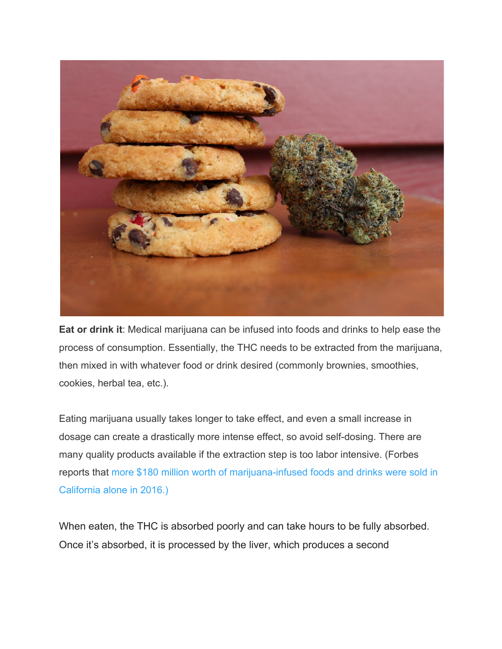

**Eat or drink it**: Medical marijuana can be infused into foods and drinks to help ease the process of consumption. Essentially, the THC needs to be extracted from the marijuana, then mixed in with whatever food or drink desired (commonly brownies, smoothies, cookies, herbal tea, etc.).

Eating marijuana usually takes longer to take effect, and even a small increase in dosage can create a drastically more intense effect, so avoid self-dosing. There are many quality products available if the extraction step is too labor intensive. (Forbes reports that [more \\$180 million worth of marijuana-infused foods and drinks were sold in](https://www.forbes.com/sites/mikemontgomery/2017/07/19/edibles-are-the-next-big-thing-for-pot-entrepreneurs/#7b3ad1f0576b) [California alone in 2016.\)](https://www.forbes.com/sites/mikemontgomery/2017/07/19/edibles-are-the-next-big-thing-for-pot-entrepreneurs/#7b3ad1f0576b)

When eaten, the THC is absorbed poorly and can take hours to be fully absorbed. Once it's absorbed, it is processed by the liver, which produces a second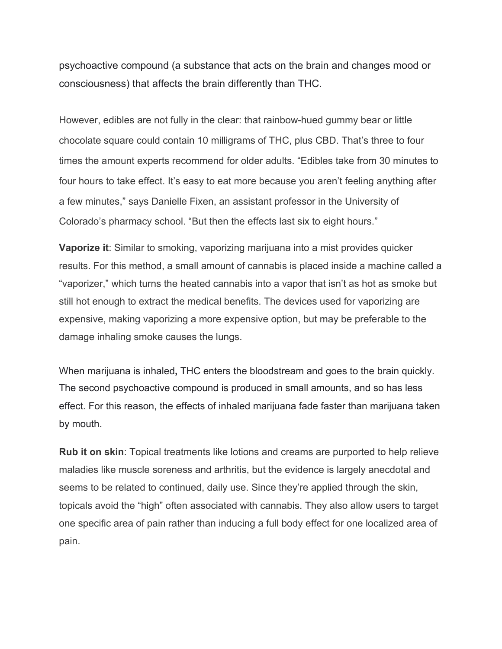psychoactive compound (a substance that acts on the brain and changes mood or consciousness) that affects the brain differently than THC.

However, edibles are not fully in the clear: that rainbow-hued gummy bear or little chocolate square could contain 10 milligrams of THC, plus CBD. That's three to four times the amount experts recommend for older adults. "Edibles take from 30 minutes to four hours to take effect. It's easy to eat more because you aren't feeling anything after a few minutes," says Danielle Fixen, an assistant professor in the University of Colorado's pharmacy school. "But then the effects last six to eight hours."

**Vaporize it**: Similar to smoking, vaporizing marijuana into a mist provides quicker results. For this method, a small amount of cannabis is placed inside a machine called a "vaporizer," which turns the heated cannabis into a vapor that isn't as hot as smoke but still hot enough to extract the medical benefits. The devices used for vaporizing are expensive, making vaporizing a more expensive option, but may be preferable to the damage inhaling smoke causes the lungs.

When marijuana is inhaled**,** THC enters the bloodstream and goes to the brain quickly. The second psychoactive compound is produced in small amounts, and so has less effect. For this reason, the effects of inhaled marijuana fade faster than marijuana taken by mouth.

**Rub it on skin**: Topical treatments like lotions and creams are purported to help relieve maladies like muscle soreness and arthritis, but the evidence is largely anecdotal and seems to be related to continued, daily use. Since they're applied through the skin, topicals avoid the "high" often associated with cannabis. They also allow users to target one specific area of pain rather than inducing a full body effect for one localized area of pain.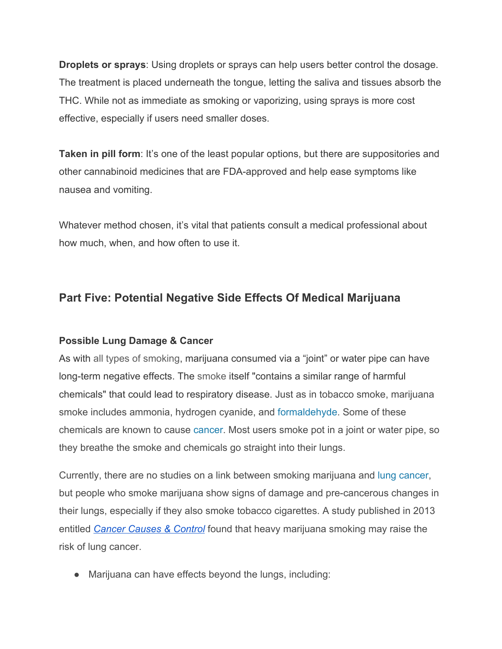**Droplets or sprays**: Using droplets or sprays can help users better control the dosage. The treatment is placed underneath the tongue, letting the saliva and tissues absorb the THC. While not as immediate as smoking or vaporizing, using sprays is more cost effective, especially if users need smaller doses.

**Taken in pill form**: It's one of the least popular options, but there are suppositories and other cannabinoid medicines that are FDA-approved and help ease symptoms like nausea and vomiting.

Whatever method chosen, it's vital that patients consult a medical professional about how much, when, and how often to use it.

# **Part Five: Potential Negative Side Effects Of Medical Marijuana**

## **Possible Lung Damage & Cancer**

As with [all types of smoking,](https://www.shape.com/lifestyle/mind-and-body/long-term-health-effects-smoking-dna-damage) marijuana consumed via a "joint" or water pipe can have long-term negative effects. The [smoke](http://adai.uw.edu/marijuana/factsheets/respiratoryeffects.htm) itself "contains a similar range of harmful chemicals" that could lead to respiratory disease. Just as in tobacco smoke, marijuana smoke includes ammonia, hydrogen cyanide, and [formaldehyde.](https://www.webmd.com/drugs/drug-9987-formaldehyde+top.aspx) Some of these chemicals are known to cause [cancer](https://www.webmd.com/cancer/). Most users smoke pot in a joint or water pipe, so they breathe the smoke and chemicals go straight into their lungs.

Currently, there are no studies on a link between smoking marijuana and [lung cancer,](https://www.webmd.com/lung-cancer/default.htm) but people who smoke marijuana show signs of damage and pre-cancerous changes in their lungs, especially if they also smoke tobacco cigarettes. A study published in 2013 entitled *[Cancer Causes & Control](https://link.springer.com/journal/10552)* found that heavy marijuana smoking may raise the risk of lung cancer.

• Marijuana can have effects beyond the lungs, including: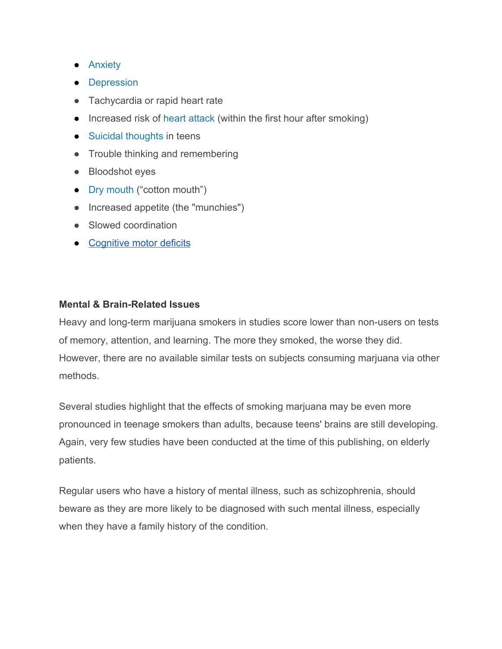- [Anxiety](https://www.webmd.com/anxiety-panic/default.htm)
- [Depression](https://www.webmd.com/depression/default.htm)
- Tachycardia or rapid heart rate
- Increased risk of [heart attack](https://www.webmd.com/heart-disease/guide/heart-disease-heart-attacks) (within the first hour after smoking)
- [Suicidal thoughts](https://www.webmd.com/depression/guide/depression-recognizing-signs-of-suicide) in teens
- Trouble thinking and remembering
- Bloodshot eyes
- [Dry mouth](https://www.webmd.com/oral-health/guide/dental-health-dry-mouth) ("cotton mouth")
- Increased appetite (the "munchies")
- Slowed coordination
- [Cognitive motor deficits](https://www.sciencedirect.com/science/article/pii/S2352154616301346)

#### **Mental & Brain-Related Issues**

Heavy and long-term marijuana smokers in studies score lower than non-users on tests of memory, attention, and learning. The more they smoked, the worse they did. However, there are no available similar tests on subjects consuming marjuana via other methods.

Several studies highlight that the effects of smoking marjuana may be even more pronounced in teenage smokers than adults, because teens' brains are still developing. Again, very few studies have been conducted at the time of this publishing, on elderly patients.

Regular users who have a history of mental illness, such as schizophrenia, should beware as they are more likely to be diagnosed with such mental illness, especially when they have a family history of the condition.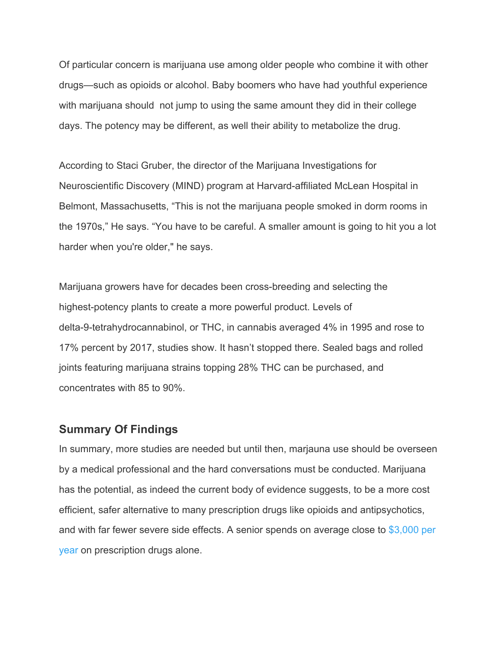Of particular concern is marijuana use among older people who combine it with other drugs—such as opioids or alcohol. Baby boomers who have had youthful experience with marijuana should not jump to using the same amount they did in their college days. The potency may be different, as well their ability to metabolize the drug.

According to Staci Gruber, the director of the Marijuana Investigations for Neuroscientific Discovery (MIND) program at Harvard-affiliated McLean Hospital in Belmont, Massachusetts, "This is not the marijuana people smoked in dorm rooms in the 1970s," He says. "You have to be careful. A smaller amount is going to hit you a lot harder when you're older," he says.

Marijuana growers have for decades been cross-breeding and selecting the highest-potency plants to create a more powerful product. Levels of delta-9-tetrahydrocannabinol, or THC, in cannabis averaged 4% in 1995 and rose to 17% percent by 2017, studies show. It hasn't stopped there. Sealed bags and rolled joints featuring marijuana strains topping 28% THC can be purchased, and concentrates with 85 to 90%.

#### **Summary Of Findings**

In summary, more studies are needed but until then, marjauna use should be overseen by a medical professional and the hard conversations must be conducted. Marijuana has the potential, as indeed the current body of evidence suggests, to be a more cost efficient, safer alternative to many prescription drugs like opioids and antipsychotics, and with far fewer severe side effects. A senior spends on average close to [\\$3,000 per](http://abcnews.go.com/Health/story?id=118104&page=1) [year](http://abcnews.go.com/Health/story?id=118104&page=1) on prescription drugs alone.